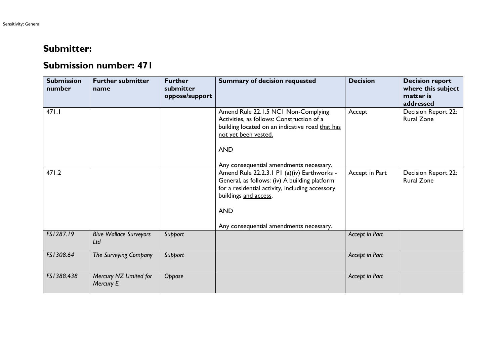## **Submitter:**

## **Submission number: 471**

| <b>Submission</b><br>number | <b>Further submitter</b><br>name     | <b>Further</b><br>submitter<br>oppose/support | <b>Summary of decision requested</b>                                                                                                                                                                                                                                         | <b>Decision</b> | <b>Decision report</b><br>where this subject<br>matter is<br>addressed |
|-----------------------------|--------------------------------------|-----------------------------------------------|------------------------------------------------------------------------------------------------------------------------------------------------------------------------------------------------------------------------------------------------------------------------------|-----------------|------------------------------------------------------------------------|
| 471.1                       |                                      |                                               | Amend Rule 22.1.5 NC1 Non-Complying<br>Activities, as follows: Construction of a<br>building located on an indicative road that has<br>not yet been vested.<br><b>AND</b>                                                                                                    | Accept          | Decision Report 22:<br><b>Rural Zone</b>                               |
| 471.2                       |                                      |                                               | Any consequential amendments necessary.<br>Amend Rule 22.2.3.1 P1 (a)(iv) Earthworks -<br>General, as follows: (iv) A building platform<br>for a residential activity, including accessory<br>buildings and access.<br><b>AND</b><br>Any consequential amendments necessary. | Accept in Part  | Decision Report 22:<br><b>Rural Zone</b>                               |
| FS1287.19                   | <b>Blue Wallace Surveyors</b><br>Ltd | Support                                       |                                                                                                                                                                                                                                                                              | Accept in Part  |                                                                        |
| FS1308.64                   | The Surveying Company                | Support                                       |                                                                                                                                                                                                                                                                              | Accept in Part  |                                                                        |
| FS1388.438                  | Mercury NZ Limited for<br>Mercury E  | Oppose                                        |                                                                                                                                                                                                                                                                              | Accept in Part  |                                                                        |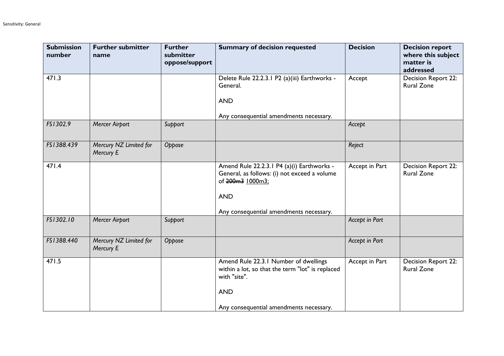| <b>Submission</b><br>number | <b>Further submitter</b><br>name    | <b>Further</b><br>submitter<br>oppose/support | <b>Summary of decision requested</b>                                                                                                                                    | <b>Decision</b> | <b>Decision report</b><br>where this subject<br>matter is<br>addressed |
|-----------------------------|-------------------------------------|-----------------------------------------------|-------------------------------------------------------------------------------------------------------------------------------------------------------------------------|-----------------|------------------------------------------------------------------------|
| 471.3                       |                                     |                                               | Delete Rule 22.2.3.1 P2 (a)(iii) Earthworks -<br>General.<br><b>AND</b>                                                                                                 | Accept          | Decision Report 22:<br><b>Rural Zone</b>                               |
|                             |                                     |                                               | Any consequential amendments necessary.                                                                                                                                 |                 |                                                                        |
| FS1302.9                    | <b>Mercer Airport</b>               | Support                                       |                                                                                                                                                                         | Accept          |                                                                        |
| FS1388.439                  | Mercury NZ Limited for<br>Mercury E | Oppose                                        |                                                                                                                                                                         | Reject          |                                                                        |
| 471.4                       |                                     |                                               | Amend Rule 22.2.3.1 P4 (a)(i) Earthworks -<br>General, as follows: (i) not exceed a volume<br>of 200m3 1000m3;<br><b>AND</b><br>Any consequential amendments necessary. | Accept in Part  | Decision Report 22:<br><b>Rural Zone</b>                               |
| FS1302.10                   | <b>Mercer Airport</b>               | Support                                       |                                                                                                                                                                         | Accept in Part  |                                                                        |
| FS1388.440                  | Mercury NZ Limited for<br>Mercury E | Oppose                                        |                                                                                                                                                                         | Accept in Part  |                                                                        |
| 471.5                       |                                     |                                               | Amend Rule 22.3.1 Number of dwellings<br>within a lot, so that the term "lot" is replaced<br>with "site".<br><b>AND</b>                                                 | Accept in Part  | Decision Report 22:<br><b>Rural Zone</b>                               |
|                             |                                     |                                               | Any consequential amendments necessary.                                                                                                                                 |                 |                                                                        |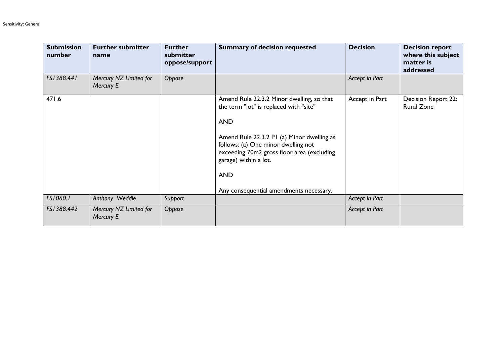| <b>Submission</b><br>number | <b>Further submitter</b><br>name    | <b>Further</b><br>submitter<br>oppose/support | <b>Summary of decision requested</b>                                                                                                                                                                                                                                                                                   | <b>Decision</b> | <b>Decision report</b><br>where this subject<br>matter is<br>addressed |
|-----------------------------|-------------------------------------|-----------------------------------------------|------------------------------------------------------------------------------------------------------------------------------------------------------------------------------------------------------------------------------------------------------------------------------------------------------------------------|-----------------|------------------------------------------------------------------------|
| FS1388.441                  | Mercury NZ Limited for<br>Mercury E | Oppose                                        |                                                                                                                                                                                                                                                                                                                        | Accept in Part  |                                                                        |
| 471.6                       |                                     |                                               | Amend Rule 22.3.2 Minor dwelling, so that<br>the term "lot" is replaced with "site"<br><b>AND</b><br>Amend Rule 22.3.2 PI (a) Minor dwelling as<br>follows: (a) One minor dwelling not<br>exceeding 70m2 gross floor area (excluding<br>garage) within a lot.<br><b>AND</b><br>Any consequential amendments necessary. | Accept in Part  | Decision Report 22:<br><b>Rural Zone</b>                               |
| FS1060.1                    | Anthony Weddle                      | Support                                       |                                                                                                                                                                                                                                                                                                                        | Accept in Part  |                                                                        |
| FS1388.442                  | Mercury NZ Limited for<br>Mercury E | Oppose                                        |                                                                                                                                                                                                                                                                                                                        | Accept in Part  |                                                                        |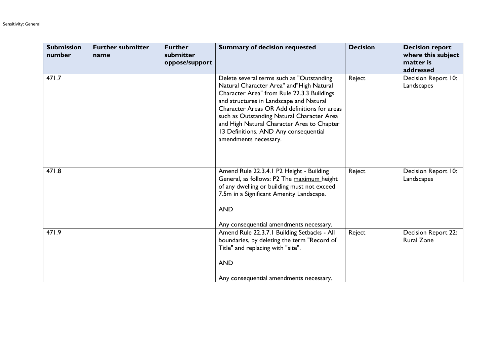| <b>Submission</b><br>number | <b>Further submitter</b><br>name | <b>Further</b><br>submitter<br>oppose/support | <b>Summary of decision requested</b>                                                                                                                                                                                                                                                                                                                                                         | <b>Decision</b> | <b>Decision report</b><br>where this subject<br>matter is<br>addressed |
|-----------------------------|----------------------------------|-----------------------------------------------|----------------------------------------------------------------------------------------------------------------------------------------------------------------------------------------------------------------------------------------------------------------------------------------------------------------------------------------------------------------------------------------------|-----------------|------------------------------------------------------------------------|
| 471.7                       |                                  |                                               | Delete several terms such as "Outstanding<br>Natural Character Area" and"High Natural<br>Character Area" from Rule 22.3.3 Buildings<br>and structures in Landscape and Natural<br>Character Areas OR Add definitions for areas<br>such as Outstanding Natural Character Area<br>and High Natural Character Area to Chapter<br>13 Definitions. AND Any consequential<br>amendments necessary. | Reject          | Decision Report 10:<br>Landscapes                                      |
| 471.8                       |                                  |                                               | Amend Rule 22.3.4.1 P2 Height - Building<br>General, as follows: P2 The maximum height<br>of any dwelling or building must not exceed<br>7.5m in a Significant Amenity Landscape.<br><b>AND</b><br>Any consequential amendments necessary.                                                                                                                                                   | Reject          | Decision Report 10:<br>Landscapes                                      |
| 471.9                       |                                  |                                               | Amend Rule 22.3.7.1 Building Setbacks - All<br>boundaries, by deleting the term "Record of<br>Title" and replacing with "site".<br><b>AND</b><br>Any consequential amendments necessary.                                                                                                                                                                                                     | Reject          | Decision Report 22:<br><b>Rural Zone</b>                               |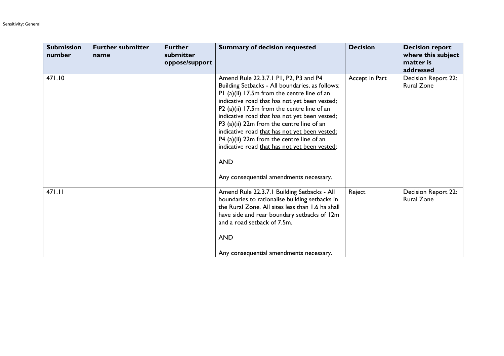| <b>Submission</b><br>number | <b>Further submitter</b><br>name | <b>Further</b><br>submitter<br>oppose/support | <b>Summary of decision requested</b>                                                                                                                                                                                                                                                                                                                                                                                                                                                                                                          | <b>Decision</b> | <b>Decision report</b><br>where this subject<br>matter is<br>addressed |
|-----------------------------|----------------------------------|-----------------------------------------------|-----------------------------------------------------------------------------------------------------------------------------------------------------------------------------------------------------------------------------------------------------------------------------------------------------------------------------------------------------------------------------------------------------------------------------------------------------------------------------------------------------------------------------------------------|-----------------|------------------------------------------------------------------------|
| 471.10                      |                                  |                                               | Amend Rule 22.3.7.1 P1, P2, P3 and P4<br>Building Setbacks - All boundaries, as follows:<br>P1 (a)(ii) 17.5m from the centre line of an<br>indicative road that has not yet been vested;<br>P2 (a)(ii) 17.5m from the centre line of an<br>indicative road that has not yet been vested;<br>P3 (a)(ii) 22m from the centre line of an<br>indicative road that has not yet been vested;<br>P4 (a)(ii) 22m from the centre line of an<br>indicative road that has not yet been vested;<br><b>AND</b><br>Any consequential amendments necessary. | Accept in Part  | Decision Report 22:<br><b>Rural Zone</b>                               |
| 471.11                      |                                  |                                               | Amend Rule 22.3.7.1 Building Setbacks - All<br>boundaries to rationalise building setbacks in<br>the Rural Zone. All sites less than 1.6 ha shall<br>have side and rear boundary setbacks of 12m<br>and a road setback of 7.5m.<br><b>AND</b><br>Any consequential amendments necessary.                                                                                                                                                                                                                                                      | Reject          | <b>Decision Report 22:</b><br><b>Rural Zone</b>                        |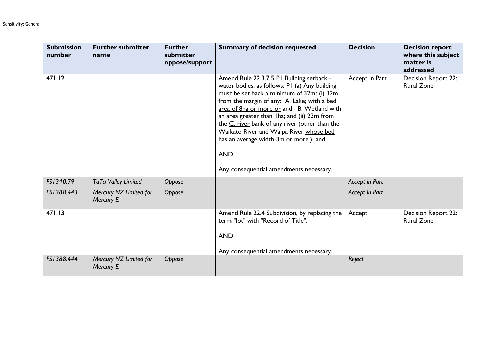| <b>Submission</b><br>number | <b>Further submitter</b><br>name    | <b>Further</b><br>submitter<br>oppose/support | <b>Summary of decision requested</b>                                                                                                                                                                                                                                                                                                                                                                                                                                                 | <b>Decision</b> | <b>Decision report</b><br>where this subject<br>matter is<br>addressed |
|-----------------------------|-------------------------------------|-----------------------------------------------|--------------------------------------------------------------------------------------------------------------------------------------------------------------------------------------------------------------------------------------------------------------------------------------------------------------------------------------------------------------------------------------------------------------------------------------------------------------------------------------|-----------------|------------------------------------------------------------------------|
| 471.12                      |                                     |                                               | Amend Rule 22.3.7.5 PI Building setback -<br>water bodies, as follows: PI (a) Any building<br>must be set back a minimum of 32m: (i) 32m<br>from the margin of any: A. Lake; with a bed<br>area of 8ha or more or and B. Wetland with<br>an area greater than Iha; and (ii) 23m from<br>the C. river bank of any river (other than the<br>Waikato River and Waipa River whose bed<br>has an average width 3m or more.); and<br><b>AND</b><br>Any consequential amendments necessary. | Accept in Part  | Decision Report 22:<br><b>Rural Zone</b>                               |
| FS1340.79                   | TaTa Valley Limited                 | Oppose                                        |                                                                                                                                                                                                                                                                                                                                                                                                                                                                                      | Accept in Part  |                                                                        |
| FS1388.443                  | Mercury NZ Limited for<br>Mercury E | Oppose                                        |                                                                                                                                                                                                                                                                                                                                                                                                                                                                                      | Accept in Part  |                                                                        |
| 471.13                      |                                     |                                               | Amend Rule 22.4 Subdivision, by replacing the<br>term "lot" with "Record of Title".<br><b>AND</b><br>Any consequential amendments necessary.                                                                                                                                                                                                                                                                                                                                         | Accept          | Decision Report 22:<br><b>Rural Zone</b>                               |
| FS1388.444                  | Mercury NZ Limited for<br>Mercury E | Oppose                                        |                                                                                                                                                                                                                                                                                                                                                                                                                                                                                      | Reject          |                                                                        |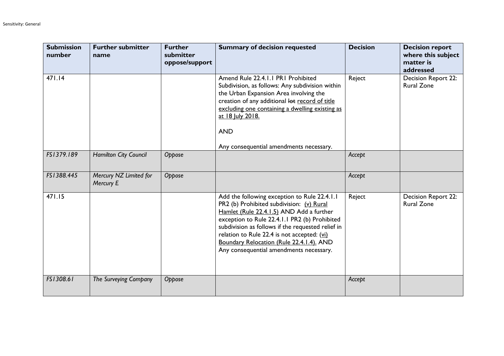| <b>Submission</b><br>number | <b>Further submitter</b><br>name    | <b>Further</b><br>submitter<br>oppose/support | <b>Summary of decision requested</b>                                                                                                                                                                                                                                                                                                                                              | <b>Decision</b> | <b>Decision report</b><br>where this subject<br>matter is<br>addressed |
|-----------------------------|-------------------------------------|-----------------------------------------------|-----------------------------------------------------------------------------------------------------------------------------------------------------------------------------------------------------------------------------------------------------------------------------------------------------------------------------------------------------------------------------------|-----------------|------------------------------------------------------------------------|
| 471.14                      |                                     |                                               | Amend Rule 22.4.1.1 PR1 Prohibited<br>Subdivision, as follows: Any subdivision within<br>the Urban Expansion Area involving the<br>creation of any additional lot record of title<br>excluding one containing a dwelling existing as<br>at 18 July 2018.<br><b>AND</b><br>Any consequential amendments necessary.                                                                 | Reject          | Decision Report 22:<br><b>Rural Zone</b>                               |
| FS1379.189                  | Hamilton City Council               | Oppose                                        |                                                                                                                                                                                                                                                                                                                                                                                   | Accept          |                                                                        |
| FS1388.445                  | Mercury NZ Limited for<br>Mercury E | Oppose                                        |                                                                                                                                                                                                                                                                                                                                                                                   | Accept          |                                                                        |
| 471.15                      |                                     |                                               | Add the following exception to Rule 22.4.1.1<br>PR2 (b) Prohibited subdivision: (v) Rural<br>Hamlet (Rule 22.4.1.5) AND Add a further<br>exception to Rule 22.4.1.1 PR2 (b) Prohibited<br>subdivision as follows if the requested relief in<br>relation to Rule 22.4 is not accepted: (vi)<br>Boundary Relocation (Rule 22.4.1.4). AND<br>Any consequential amendments necessary. | Reject          | Decision Report 22:<br><b>Rural Zone</b>                               |
| FS1308.61                   | The Surveying Company               | Oppose                                        |                                                                                                                                                                                                                                                                                                                                                                                   | Accept          |                                                                        |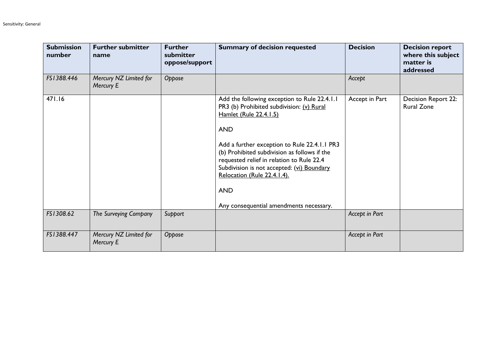| <b>Submission</b><br>number | <b>Further submitter</b><br>name    | <b>Further</b><br>submitter<br>oppose/support | <b>Summary of decision requested</b>                                                                                                                                                                                                                                                                                                                                                                                 | <b>Decision</b>       | <b>Decision report</b><br>where this subject<br>matter is<br>addressed |
|-----------------------------|-------------------------------------|-----------------------------------------------|----------------------------------------------------------------------------------------------------------------------------------------------------------------------------------------------------------------------------------------------------------------------------------------------------------------------------------------------------------------------------------------------------------------------|-----------------------|------------------------------------------------------------------------|
| FS1388.446                  | Mercury NZ Limited for<br>Mercury E | Oppose                                        |                                                                                                                                                                                                                                                                                                                                                                                                                      | Accept                |                                                                        |
| 471.16                      |                                     |                                               | Add the following exception to Rule 22.4.1.1<br>PR3 (b) Prohibited subdivision: (v) Rural<br>Hamlet (Rule 22.4.1.5)<br><b>AND</b><br>Add a further exception to Rule 22.4.1.1 PR3<br>(b) Prohibited subdivision as follows if the<br>requested relief in relation to Rule 22.4<br>Subdivision is not accepted: (vi) Boundary<br>Relocation (Rule 22.4.1.4).<br><b>AND</b><br>Any consequential amendments necessary. | Accept in Part        | Decision Report 22:<br><b>Rural Zone</b>                               |
| FS1308.62                   | The Surveying Company               | Support                                       |                                                                                                                                                                                                                                                                                                                                                                                                                      | Accept in Part        |                                                                        |
| FS1388.447                  | Mercury NZ Limited for<br>Mercury E | Oppose                                        |                                                                                                                                                                                                                                                                                                                                                                                                                      | <b>Accept in Part</b> |                                                                        |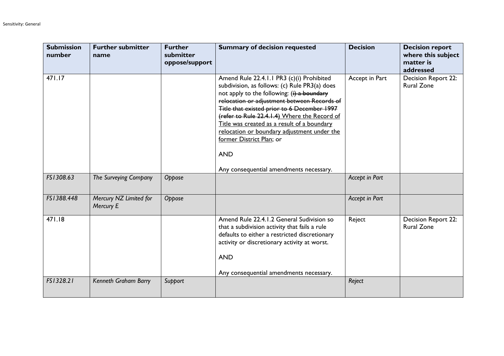| <b>Submission</b><br>number | <b>Further submitter</b><br>name    | <b>Further</b><br>submitter<br>oppose/support | <b>Summary of decision requested</b>                                                                                                                                                                                                                                                                                                                                                                                                                                        | <b>Decision</b> | <b>Decision report</b><br>where this subject<br>matter is<br>addressed |
|-----------------------------|-------------------------------------|-----------------------------------------------|-----------------------------------------------------------------------------------------------------------------------------------------------------------------------------------------------------------------------------------------------------------------------------------------------------------------------------------------------------------------------------------------------------------------------------------------------------------------------------|-----------------|------------------------------------------------------------------------|
| 471.17                      |                                     |                                               | Amend Rule 22.4.1.1 PR3 (c)(i) Prohibited<br>subdivision, as follows: (c) Rule PR3(a) does<br>not apply to the following: $(i)$ a boundary<br>relocation or adjustment between Records of<br>Title that existed prior to 6 December 1997<br>(refer to Rule 22.4.1.4) Where the Record of<br>Title was created as a result of a boundary<br>relocation or boundary adjustment under the<br>former District Plan; or<br><b>AND</b><br>Any consequential amendments necessary. | Accept in Part  | Decision Report 22:<br><b>Rural Zone</b>                               |
| FS1308.63                   | The Surveying Company               | Oppose                                        |                                                                                                                                                                                                                                                                                                                                                                                                                                                                             | Accept in Part  |                                                                        |
| FS1388.448                  | Mercury NZ Limited for<br>Mercury E | Oppose                                        |                                                                                                                                                                                                                                                                                                                                                                                                                                                                             | Accept in Part  |                                                                        |
| 471.18                      |                                     |                                               | Amend Rule 22.4.1.2 General Sudivision so<br>that a subdivision activity that fails a rule<br>defaults to either a restricted discretionary<br>activity or discretionary activity at worst.<br><b>AND</b><br>Any consequential amendments necessary.                                                                                                                                                                                                                        | Reject          | Decision Report 22:<br><b>Rural Zone</b>                               |
| FS1328.21                   | Kenneth Graham Barry                | Support                                       |                                                                                                                                                                                                                                                                                                                                                                                                                                                                             | Reject          |                                                                        |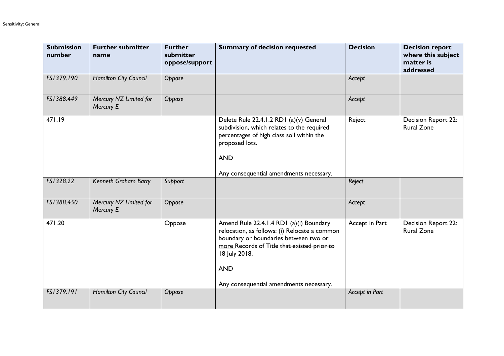| <b>Submission</b><br>number | <b>Further submitter</b><br>name    | <b>Further</b><br>submitter<br>oppose/support | <b>Summary of decision requested</b>                                                                                                                                                                                                                       | <b>Decision</b> | <b>Decision report</b><br>where this subject<br>matter is<br>addressed |
|-----------------------------|-------------------------------------|-----------------------------------------------|------------------------------------------------------------------------------------------------------------------------------------------------------------------------------------------------------------------------------------------------------------|-----------------|------------------------------------------------------------------------|
| FS1379.190                  | Hamilton City Council               | Oppose                                        |                                                                                                                                                                                                                                                            | Accept          |                                                                        |
| FS1388.449                  | Mercury NZ Limited for<br>Mercury E | Oppose                                        |                                                                                                                                                                                                                                                            | Accept          |                                                                        |
| 471.19                      |                                     |                                               | Delete Rule 22.4.1.2 RD1 (a)(v) General<br>subdivision, which relates to the required<br>percentages of high class soil within the<br>proposed lots.<br><b>AND</b><br>Any consequential amendments necessary.                                              | Reject          | Decision Report 22:<br><b>Rural Zone</b>                               |
| FS1328.22                   | Kenneth Graham Barry                | Support                                       |                                                                                                                                                                                                                                                            | Reject          |                                                                        |
| FS1388.450                  | Mercury NZ Limited for<br>Mercury E | Oppose                                        |                                                                                                                                                                                                                                                            | Accept          |                                                                        |
| 471.20                      |                                     | Oppose                                        | Amend Rule 22.4.1.4 RD1 (a)(i) Boundary<br>relocation, as follows: (i) Relocate a common<br>boundary or boundaries between two or<br>more Records of Title that existed prior to<br>18 July 2018;<br><b>AND</b><br>Any consequential amendments necessary. | Accept in Part  | Decision Report 22:<br><b>Rural Zone</b>                               |
| FS1379.191                  | Hamilton City Council               | Oppose                                        |                                                                                                                                                                                                                                                            | Accept in Part  |                                                                        |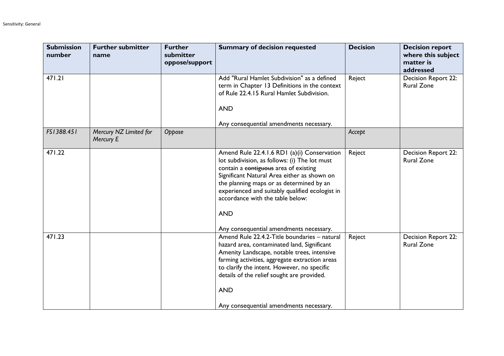| <b>Submission</b><br>number | <b>Further submitter</b><br>name    | <b>Further</b><br>submitter<br>oppose/support | <b>Summary of decision requested</b>                                                                                                                                                                                                                                                                                                                                             | <b>Decision</b> | <b>Decision report</b><br>where this subject<br>matter is<br>addressed |
|-----------------------------|-------------------------------------|-----------------------------------------------|----------------------------------------------------------------------------------------------------------------------------------------------------------------------------------------------------------------------------------------------------------------------------------------------------------------------------------------------------------------------------------|-----------------|------------------------------------------------------------------------|
| 471.21                      |                                     |                                               | Add "Rural Hamlet Subdivision" as a defined<br>term in Chapter 13 Definitions in the context<br>of Rule 22.4.15 Rural Hamlet Subdivision.<br><b>AND</b><br>Any consequential amendments necessary.                                                                                                                                                                               | Reject          | Decision Report 22:<br><b>Rural Zone</b>                               |
| FS1388.451                  | Mercury NZ Limited for<br>Mercury E | Oppose                                        |                                                                                                                                                                                                                                                                                                                                                                                  | Accept          |                                                                        |
| 471.22                      |                                     |                                               | Amend Rule 22.4.1.6 RD1 (a)(i) Conservation<br>lot subdivision, as follows: (i) The lot must<br>contain a contiguous area of existing<br>Significant Natural Area either as shown on<br>the planning maps or as determined by an<br>experienced and suitably qualified ecologist in<br>accordance with the table below:<br><b>AND</b><br>Any consequential amendments necessary. | Reject          | Decision Report 22:<br><b>Rural Zone</b>                               |
| 471.23                      |                                     |                                               | Amend Rule 22.4.2-Title boundaries - natural<br>hazard area, contaminated land, Significant<br>Amenity Landscape, notable trees, intensive<br>farming activities, aggregate extraction areas<br>to clarify the intent. However, no specific<br>details of the relief sought are provided.<br><b>AND</b><br>Any consequential amendments necessary.                               | Reject          | Decision Report 22:<br><b>Rural Zone</b>                               |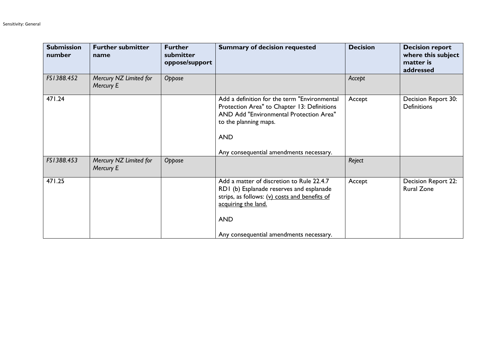| <b>Submission</b><br>number | <b>Further submitter</b><br>name    | <b>Further</b><br>submitter<br>oppose/support | <b>Summary of decision requested</b>                                                                                                                                                                                     | <b>Decision</b> | <b>Decision report</b><br>where this subject<br>matter is<br>addressed |
|-----------------------------|-------------------------------------|-----------------------------------------------|--------------------------------------------------------------------------------------------------------------------------------------------------------------------------------------------------------------------------|-----------------|------------------------------------------------------------------------|
| FS1388.452                  | Mercury NZ Limited for<br>Mercury E | Oppose                                        |                                                                                                                                                                                                                          | Accept          |                                                                        |
| 471.24                      |                                     |                                               | Add a definition for the term "Environmental<br>Protection Area" to Chapter 13: Definitions<br>AND Add "Environmental Protection Area"<br>to the planning maps.<br><b>AND</b><br>Any consequential amendments necessary. | Accept          | Decision Report 30:<br><b>Definitions</b>                              |
| FS1388.453                  | Mercury NZ Limited for<br>Mercury E | Oppose                                        |                                                                                                                                                                                                                          | Reject          |                                                                        |
| 471.25                      |                                     |                                               | Add a matter of discretion to Rule 22.4.7<br>RD1 (b) Esplanade reserves and esplanade<br>strips, as follows: $(y)$ costs and benefits of<br>acquiring the land.<br><b>AND</b><br>Any consequential amendments necessary. | Accept          | Decision Report 22:<br><b>Rural Zone</b>                               |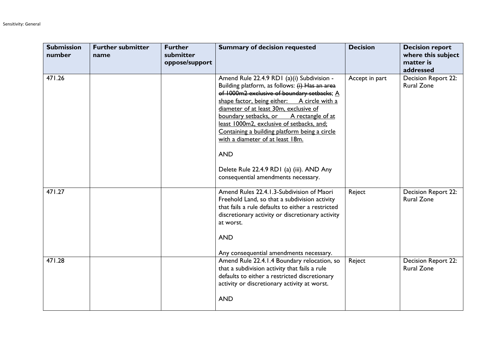| <b>Submission</b><br>number | <b>Further submitter</b><br>name | <b>Further</b><br>submitter<br>oppose/support | <b>Summary of decision requested</b>                                                                                                                                                                                                                                                                                                                                                                                                                                                                                | <b>Decision</b> | <b>Decision report</b><br>where this subject<br>matter is<br>addressed |
|-----------------------------|----------------------------------|-----------------------------------------------|---------------------------------------------------------------------------------------------------------------------------------------------------------------------------------------------------------------------------------------------------------------------------------------------------------------------------------------------------------------------------------------------------------------------------------------------------------------------------------------------------------------------|-----------------|------------------------------------------------------------------------|
| 471.26                      |                                  |                                               | Amend Rule 22.4.9 RD1 (a)(i) Subdivision -<br>Building platform, as follows: (i) Has an area<br>of 1000m2 exclusive of boundary setbacks; A<br>shape factor, being either: A circle with a<br>diameter of at least 30m, exclusive of<br>boundary setbacks, or A rectangle of at<br>least 1000m2, exclusive of setbacks, and;<br>Containing a building platform being a circle<br>with a diameter of at least 18m.<br><b>AND</b><br>Delete Rule 22.4.9 RD1 (a) (iii). AND Any<br>consequential amendments necessary. | Accept in part  | Decision Report 22:<br><b>Rural Zone</b>                               |
| 471.27                      |                                  |                                               | Amend Rules 22.4.1.3-Subdivision of Maori<br>Freehold Land, so that a subdivision activity<br>that fails a rule defaults to either a restricted<br>discretionary activity or discretionary activity<br>at worst.<br><b>AND</b><br>Any consequential amendments necessary.                                                                                                                                                                                                                                           | Reject          | Decision Report 22:<br><b>Rural Zone</b>                               |
| 471.28                      |                                  |                                               | Amend Rule 22.4.1.4 Boundary relocation, so<br>that a subdivision activity that fails a rule<br>defaults to either a restricted discretionary<br>activity or discretionary activity at worst.<br><b>AND</b>                                                                                                                                                                                                                                                                                                         | Reject          | Decision Report 22:<br><b>Rural Zone</b>                               |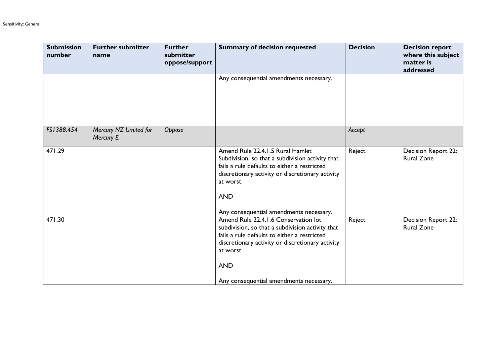| <b>Submission</b><br>number | <b>Further submitter</b><br>name    | <b>Further</b><br>submitter<br>oppose/support | <b>Summary of decision requested</b>                                                                                                                                                                                                                               | <b>Decision</b> | <b>Decision report</b><br>where this subject<br>matter is<br>addressed |
|-----------------------------|-------------------------------------|-----------------------------------------------|--------------------------------------------------------------------------------------------------------------------------------------------------------------------------------------------------------------------------------------------------------------------|-----------------|------------------------------------------------------------------------|
|                             |                                     |                                               | Any consequential amendments necessary.                                                                                                                                                                                                                            |                 |                                                                        |
| FS1388.454                  | Mercury NZ Limited for<br>Mercury E | Oppose                                        |                                                                                                                                                                                                                                                                    | Accept          |                                                                        |
| 471.29                      |                                     |                                               | Amend Rule 22.4.1.5 Rural Hamlet<br>Subdivision, so that a subdivision activity that<br>fails a rule defaults to either a restricted<br>discretionary activity or discretionary activity<br>at worst.<br><b>AND</b><br>Any consequential amendments necessary.     | Reject          | Decision Report 22:<br><b>Rural Zone</b>                               |
| 471.30                      |                                     |                                               | Amend Rule 22.4.1.6 Conservation lot<br>subdivision, so that a subdivision activity that<br>fails a rule defaults to either a restricted<br>discretionary activity or discretionary activity<br>at worst.<br><b>AND</b><br>Any consequential amendments necessary. | Reject          | Decision Report 22:<br><b>Rural Zone</b>                               |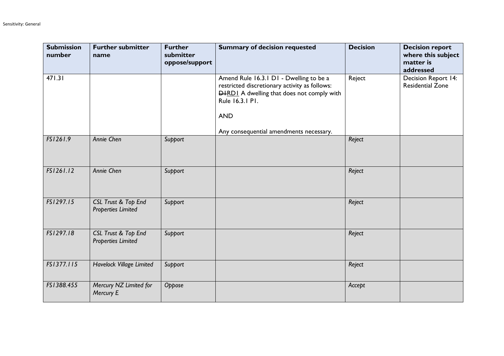| <b>Submission</b><br>number | <b>Further submitter</b><br>name                 | <b>Further</b><br>submitter<br>oppose/support | <b>Summary of decision requested</b>                                                                                                                                           | <b>Decision</b> | <b>Decision report</b><br>where this subject<br>matter is<br>addressed |
|-----------------------------|--------------------------------------------------|-----------------------------------------------|--------------------------------------------------------------------------------------------------------------------------------------------------------------------------------|-----------------|------------------------------------------------------------------------|
| 471.31                      |                                                  |                                               | Amend Rule 16.3.1 D1 - Dwelling to be a<br>restricted discretionary activity as follows:<br><b>DHRDI</b> A dwelling that does not comply with<br>Rule 16.3.1 P1.<br><b>AND</b> | Reject          | Decision Report 14:<br><b>Residential Zone</b>                         |
|                             |                                                  |                                               | Any consequential amendments necessary.                                                                                                                                        |                 |                                                                        |
| FS1261.9                    | Annie Chen                                       | Support                                       |                                                                                                                                                                                | Reject          |                                                                        |
| FS1261.12                   | Annie Chen                                       | Support                                       |                                                                                                                                                                                | Reject          |                                                                        |
| FS1297.15                   | CSL Trust & Top End<br><b>Properties Limited</b> | Support                                       |                                                                                                                                                                                | Reject          |                                                                        |
| FS1297.18                   | CSL Trust & Top End<br><b>Properties Limited</b> | Support                                       |                                                                                                                                                                                | Reject          |                                                                        |
| FS1377.115                  | Havelock Village Limited                         | Support                                       |                                                                                                                                                                                | Reject          |                                                                        |
| FS1388.455                  | Mercury NZ Limited for<br>Mercury E              | Oppose                                        |                                                                                                                                                                                | Accept          |                                                                        |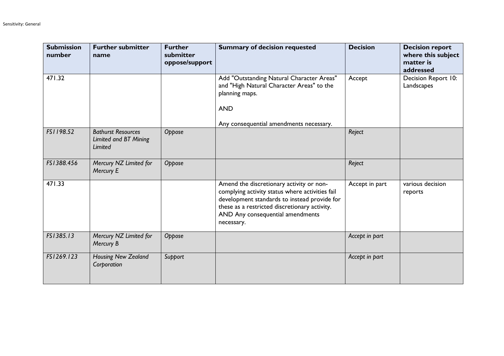| <b>Submission</b><br>number | <b>Further submitter</b><br>name                              | <b>Further</b><br>submitter<br>oppose/support | <b>Summary of decision requested</b>                                                                                                                                                                                                           | <b>Decision</b> | <b>Decision report</b><br>where this subject<br>matter is<br>addressed |
|-----------------------------|---------------------------------------------------------------|-----------------------------------------------|------------------------------------------------------------------------------------------------------------------------------------------------------------------------------------------------------------------------------------------------|-----------------|------------------------------------------------------------------------|
| 471.32                      |                                                               |                                               | Add "Outstanding Natural Character Areas"<br>and "High Natural Character Areas" to the<br>planning maps.<br><b>AND</b>                                                                                                                         | Accept          | Decision Report 10:<br>Landscapes                                      |
|                             |                                                               |                                               | Any consequential amendments necessary.                                                                                                                                                                                                        |                 |                                                                        |
| FS1198.52                   | <b>Bathurst Resources</b><br>Limited and BT Mining<br>Limited | Oppose                                        |                                                                                                                                                                                                                                                | Reject          |                                                                        |
| FS1388.456                  | Mercury NZ Limited for<br>Mercury E                           | Oppose                                        |                                                                                                                                                                                                                                                | Reject          |                                                                        |
| 471.33                      |                                                               |                                               | Amend the discretionary activity or non-<br>complying activity status where activities fail<br>development standards to instead provide for<br>these as a restricted discretionary activity.<br>AND Any consequential amendments<br>necessary. | Accept in part  | various decision<br>reports                                            |
| FS1385.13                   | Mercury NZ Limited for<br>Mercury B                           | Oppose                                        |                                                                                                                                                                                                                                                | Accept in part  |                                                                        |
| FS1269.123                  | Housing New Zealand<br>Corporation                            | Support                                       |                                                                                                                                                                                                                                                | Accept in part  |                                                                        |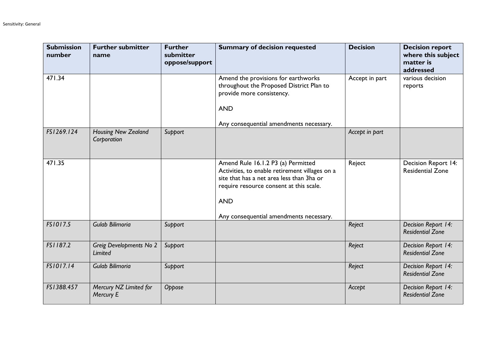| <b>Submission</b><br>number | <b>Further submitter</b><br>name          | <b>Further</b><br>submitter<br>oppose/support | <b>Summary of decision requested</b>                                                                                                                                                                                                  | <b>Decision</b> | <b>Decision report</b><br>where this subject<br>matter is<br>addressed |
|-----------------------------|-------------------------------------------|-----------------------------------------------|---------------------------------------------------------------------------------------------------------------------------------------------------------------------------------------------------------------------------------------|-----------------|------------------------------------------------------------------------|
| 471.34                      |                                           |                                               | Amend the provisions for earthworks<br>throughout the Proposed District Plan to<br>provide more consistency.<br><b>AND</b><br>Any consequential amendments necessary.                                                                 | Accept in part  | various decision<br>reports                                            |
| FS1269.124                  | <b>Housing New Zealand</b><br>Corporation | Support                                       |                                                                                                                                                                                                                                       | Accept in part  |                                                                        |
| 471.35                      |                                           |                                               | Amend Rule 16.1.2 P3 (a) Permitted<br>Activities, to enable retirement villages on a<br>site that has a net area less than 3ha or<br>require resource consent at this scale.<br><b>AND</b><br>Any consequential amendments necessary. | Reject          | <b>Decision Report 14:</b><br><b>Residential Zone</b>                  |
| FS1017.5                    | Gulab Bilimoria                           | Support                                       |                                                                                                                                                                                                                                       | Reject          | Decision Report 14:<br><b>Residential Zone</b>                         |
| FS1187.2                    | Greig Developments No 2<br><b>Limited</b> | Support                                       |                                                                                                                                                                                                                                       | Reject          | Decision Report 14:<br><b>Residential Zone</b>                         |
| FS1017.14                   | Gulab Bilimoria                           | Support                                       |                                                                                                                                                                                                                                       | Reject          | Decision Report 14:<br><b>Residential Zone</b>                         |
| FS1388.457                  | Mercury NZ Limited for<br>Mercury E       | Oppose                                        |                                                                                                                                                                                                                                       | Accept          | Decision Report 14:<br><b>Residential Zone</b>                         |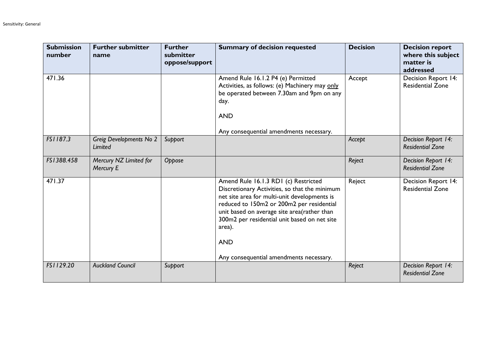| <b>Submission</b><br>number | <b>Further submitter</b><br>name          | <b>Further</b><br>submitter<br>oppose/support | <b>Summary of decision requested</b>                                                                                                                                                                                                                                                                                                                 | <b>Decision</b> | <b>Decision report</b><br>where this subject<br>matter is<br>addressed |
|-----------------------------|-------------------------------------------|-----------------------------------------------|------------------------------------------------------------------------------------------------------------------------------------------------------------------------------------------------------------------------------------------------------------------------------------------------------------------------------------------------------|-----------------|------------------------------------------------------------------------|
| 471.36                      |                                           |                                               | Amend Rule 16.1.2 P4 (e) Permitted<br>Activities, as follows: (e) Machinery may only<br>be operated between 7.30am and 9pm on any<br>day.<br><b>AND</b>                                                                                                                                                                                              | Accept          | Decision Report 14:<br><b>Residential Zone</b>                         |
| FS1187.3                    | Greig Developments No 2<br><b>Limited</b> | Support                                       | Any consequential amendments necessary.                                                                                                                                                                                                                                                                                                              | Accept          | Decision Report 14:<br><b>Residential Zone</b>                         |
| FS1388.458                  | Mercury NZ Limited for<br>Mercury E       | Oppose                                        |                                                                                                                                                                                                                                                                                                                                                      | Reject          | Decision Report 14:<br><b>Residential Zone</b>                         |
| 471.37                      |                                           |                                               | Amend Rule 16.1.3 RD1 (c) Restricted<br>Discretionary Activities, so that the minimum<br>net site area for multi-unit developments is<br>reduced to 150m2 or 200m2 per residential<br>unit based on average site area(rather than<br>300m2 per residential unit based on net site<br>area).<br><b>AND</b><br>Any consequential amendments necessary. | Reject          | Decision Report 14:<br><b>Residential Zone</b>                         |
| FS1129.20                   | <b>Auckland Council</b>                   | Support                                       |                                                                                                                                                                                                                                                                                                                                                      | Reject          | Decision Report 14:<br><b>Residential Zone</b>                         |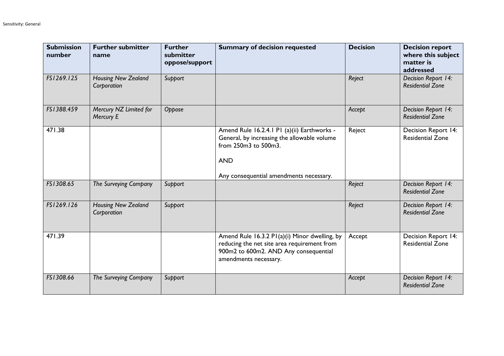| <b>Submission</b><br>number | <b>Further submitter</b><br>name          | <b>Further</b><br>submitter<br>oppose/support | <b>Summary of decision requested</b>                                                                                                                           | <b>Decision</b> | <b>Decision report</b><br>where this subject<br>matter is<br>addressed |
|-----------------------------|-------------------------------------------|-----------------------------------------------|----------------------------------------------------------------------------------------------------------------------------------------------------------------|-----------------|------------------------------------------------------------------------|
| FS1269.125                  | <b>Housing New Zealand</b><br>Corporation | Support                                       |                                                                                                                                                                | Reject          | Decision Report 14:<br><b>Residential Zone</b>                         |
| FS1388.459                  | Mercury NZ Limited for<br>Mercury E       | Oppose                                        |                                                                                                                                                                | Accept          | Decision Report 14:<br><b>Residential Zone</b>                         |
| 471.38                      |                                           |                                               | Amend Rule 16.2.4.1 P1 (a)(ii) Earthworks -<br>General, by increasing the allowable volume<br>from 250m3 to 500m3.<br><b>AND</b>                               | Reject          | Decision Report 14:<br><b>Residential Zone</b>                         |
| FS1308.65                   | The Surveying Company                     | Support                                       | Any consequential amendments necessary.                                                                                                                        | Reject          | Decision Report 14:<br><b>Residential Zone</b>                         |
| FS1269.126                  | <b>Housing New Zealand</b><br>Corporation | Support                                       |                                                                                                                                                                | Reject          | Decision Report 14:<br><b>Residential Zone</b>                         |
| 471.39                      |                                           |                                               | Amend Rule 16.3.2 P1(a)(i) Minor dwelling, by<br>reducing the net site area requirement from<br>900m2 to 600m2. AND Any consequential<br>amendments necessary. | Accept          | Decision Report 14:<br><b>Residential Zone</b>                         |
| FS1308.66                   | The Surveying Company                     | Support                                       |                                                                                                                                                                | Accept          | Decision Report 14:<br><b>Residential Zone</b>                         |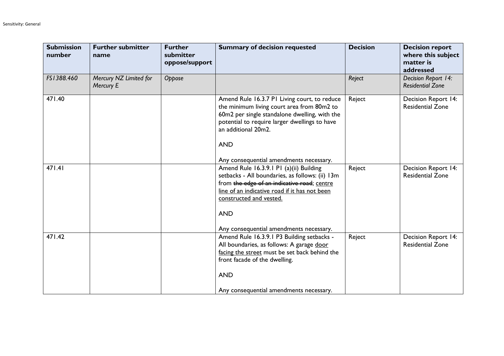| <b>Submission</b><br>number | <b>Further submitter</b><br>name    | <b>Further</b><br>submitter<br>oppose/support | <b>Summary of decision requested</b>                                                                                                                                                                                                                                           | <b>Decision</b> | <b>Decision report</b><br>where this subject<br>matter is<br>addressed |
|-----------------------------|-------------------------------------|-----------------------------------------------|--------------------------------------------------------------------------------------------------------------------------------------------------------------------------------------------------------------------------------------------------------------------------------|-----------------|------------------------------------------------------------------------|
| FS1388.460                  | Mercury NZ Limited for<br>Mercury E | Oppose                                        |                                                                                                                                                                                                                                                                                | Reject          | Decision Report 14:<br><b>Residential Zone</b>                         |
| 471.40                      |                                     |                                               | Amend Rule 16.3.7 PI Living court, to reduce<br>the minimum living court area from 80m2 to<br>60m2 per single standalone dwelling, with the<br>potential to require larger dwellings to have<br>an additional 20m2.<br><b>AND</b><br>Any consequential amendments necessary.   | Reject          | Decision Report 14:<br><b>Residential Zone</b>                         |
| 471.41                      |                                     |                                               | Amend Rule 16.3.9.1 P1 (a)(ii) Building<br>setbacks - All boundaries, as follows: (ii) 13m<br>from the edge of an indicative road; centre<br>line of an indicative road if it has not been<br>constructed and vested.<br><b>AND</b><br>Any consequential amendments necessary. | Reject          | Decision Report 14:<br><b>Residential Zone</b>                         |
| 471.42                      |                                     |                                               | Amend Rule 16.3.9.1 P3 Building setbacks -<br>All boundaries, as follows: A garage door<br>facing the street must be set back behind the<br>front facade of the dwelling.<br><b>AND</b><br>Any consequential amendments necessary.                                             | Reject          | Decision Report 14:<br><b>Residential Zone</b>                         |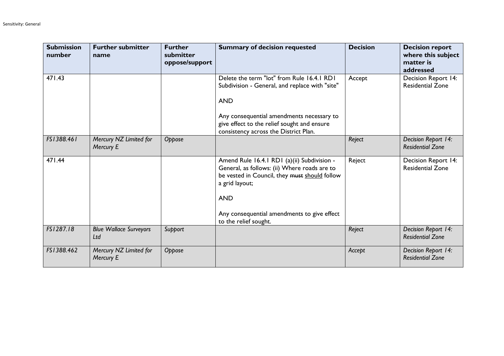| <b>Submission</b><br>number | <b>Further submitter</b><br>name     | <b>Further</b><br>submitter<br>oppose/support | <b>Summary of decision requested</b>                                                                                                                                                                                                                 | <b>Decision</b> | <b>Decision report</b><br>where this subject<br>matter is<br>addressed |
|-----------------------------|--------------------------------------|-----------------------------------------------|------------------------------------------------------------------------------------------------------------------------------------------------------------------------------------------------------------------------------------------------------|-----------------|------------------------------------------------------------------------|
| 471.43                      |                                      |                                               | Delete the term "lot" from Rule 16.4.1 RD1<br>Subdivision - General, and replace with "site"<br><b>AND</b><br>Any consequential amendments necessary to<br>give effect to the relief sought and ensure<br>consistency across the District Plan.      | Accept          | Decision Report 14:<br><b>Residential Zone</b>                         |
| FS1388.461                  | Mercury NZ Limited for<br>Mercury E  | Oppose                                        |                                                                                                                                                                                                                                                      | Reject          | Decision Report 14:<br><b>Residential Zone</b>                         |
| 471.44                      |                                      |                                               | Amend Rule 16.4.1 RD1 (a)(ii) Subdivision -<br>General, as follows: (ii) Where roads are to<br>be vested in Council, they must should follow<br>a grid layout;<br><b>AND</b><br>Any consequential amendments to give effect<br>to the relief sought. | Reject          | Decision Report 14:<br><b>Residential Zone</b>                         |
| FS1287.18                   | <b>Blue Wallace Surveyors</b><br>Ltd | Support                                       |                                                                                                                                                                                                                                                      | Reject          | Decision Report 14:<br><b>Residential Zone</b>                         |
| FS1388.462                  | Mercury NZ Limited for<br>Mercury E  | Oppose                                        |                                                                                                                                                                                                                                                      | Accept          | Decision Report 14:<br><b>Residential Zone</b>                         |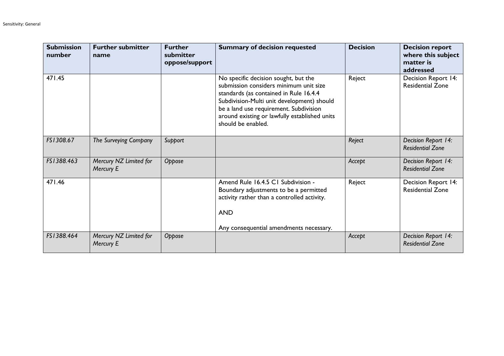| <b>Submission</b><br>number | <b>Further submitter</b><br>name    | <b>Further</b><br>submitter<br>oppose/support | <b>Summary of decision requested</b>                                                                                                                                                                                                                                                    | <b>Decision</b> | <b>Decision report</b><br>where this subject<br>matter is<br>addressed |
|-----------------------------|-------------------------------------|-----------------------------------------------|-----------------------------------------------------------------------------------------------------------------------------------------------------------------------------------------------------------------------------------------------------------------------------------------|-----------------|------------------------------------------------------------------------|
| 471.45                      |                                     |                                               | No specific decision sought, but the<br>submission considers minimum unit size<br>standards (as contained in Rule 16.4.4<br>Subdivision-Multi unit development) should<br>be a land use requirement. Subdivision<br>around existing or lawfully established units<br>should be enabled. | Reject          | Decision Report 14:<br><b>Residential Zone</b>                         |
| FS1308.67                   | The Surveying Company               | Support                                       |                                                                                                                                                                                                                                                                                         | Reject          | Decision Report 14:<br><b>Residential Zone</b>                         |
| FS1388.463                  | Mercury NZ Limited for<br>Mercury E | Oppose                                        |                                                                                                                                                                                                                                                                                         | Accept          | Decision Report 14:<br><b>Residential Zone</b>                         |
| 471.46                      |                                     |                                               | Amend Rule 16.4.5 C1 Subdivision -<br>Boundary adjustments to be a permitted<br>activity rather than a controlled activity.<br><b>AND</b><br>Any consequential amendments necessary.                                                                                                    | Reject          | Decision Report 14:<br><b>Residential Zone</b>                         |
| FS1388.464                  | Mercury NZ Limited for<br>Mercury E | Oppose                                        |                                                                                                                                                                                                                                                                                         | Accept          | Decision Report 14:<br><b>Residential Zone</b>                         |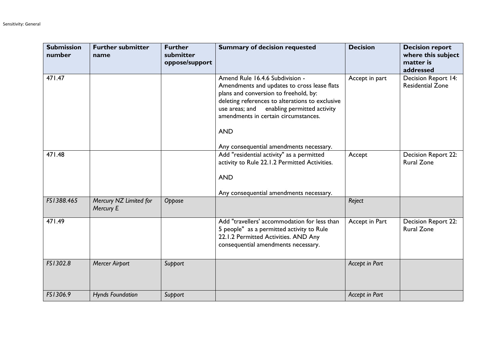| <b>Submission</b><br>number | <b>Further submitter</b><br>name    | <b>Further</b><br>submitter<br>oppose/support | <b>Summary of decision requested</b>                                                                                                                                                                                                                                                                                         | <b>Decision</b> | <b>Decision report</b><br>where this subject<br>matter is<br>addressed |
|-----------------------------|-------------------------------------|-----------------------------------------------|------------------------------------------------------------------------------------------------------------------------------------------------------------------------------------------------------------------------------------------------------------------------------------------------------------------------------|-----------------|------------------------------------------------------------------------|
| 471.47                      |                                     |                                               | Amend Rule 16.4.6 Subdivision -<br>Amendments and updates to cross lease flats<br>plans and conversion to freehold, by:<br>deleting references to alterations to exclusive<br>enabling permitted activity<br>use areas; and<br>amendments in certain circumstances.<br><b>AND</b><br>Any consequential amendments necessary. | Accept in part  | Decision Report 14:<br><b>Residential Zone</b>                         |
| 471.48                      |                                     |                                               | Add "residential activity" as a permitted<br>activity to Rule 22.1.2 Permitted Activities.<br><b>AND</b><br>Any consequential amendments necessary.                                                                                                                                                                          | Accept          | Decision Report 22:<br><b>Rural Zone</b>                               |
| FS1388.465                  | Mercury NZ Limited for<br>Mercury E | Oppose                                        |                                                                                                                                                                                                                                                                                                                              | Reject          |                                                                        |
| 471.49                      |                                     |                                               | Add "travellers' accommodation for less than<br>5 people" as a permitted activity to Rule<br>22.1.2 Permitted Activities. AND Any<br>consequential amendments necessary.                                                                                                                                                     | Accept in Part  | Decision Report 22:<br><b>Rural Zone</b>                               |
| FS1302.8                    | <b>Mercer Airport</b>               | Support                                       |                                                                                                                                                                                                                                                                                                                              | Accept in Part  |                                                                        |
| FS1306.9                    | <b>Hynds Foundation</b>             | Support                                       |                                                                                                                                                                                                                                                                                                                              | Accept in Part  |                                                                        |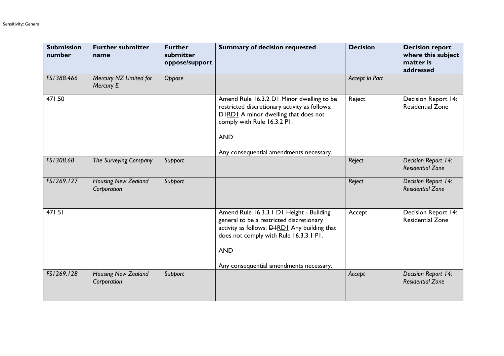| <b>Submission</b><br>number | <b>Further submitter</b><br>name          | <b>Further</b><br>submitter<br>oppose/support | <b>Summary of decision requested</b>                                                                                                                                                                                                           | <b>Decision</b> | <b>Decision report</b><br>where this subject<br>matter is<br>addressed |
|-----------------------------|-------------------------------------------|-----------------------------------------------|------------------------------------------------------------------------------------------------------------------------------------------------------------------------------------------------------------------------------------------------|-----------------|------------------------------------------------------------------------|
| FS1388.466                  | Mercury NZ Limited for<br>Mercury E       | Oppose                                        |                                                                                                                                                                                                                                                | Accept in Part  |                                                                        |
| 471.50                      |                                           |                                               | Amend Rule 16.3.2 D1 Minor dwelling to be<br>restricted discretionary activity as follows:<br><b>DIRDI</b> A minor dwelling that does not<br>comply with Rule 16.3.2 PI.<br><b>AND</b>                                                         | Reject          | Decision Report 14:<br><b>Residential Zone</b>                         |
| FS1308.68                   | The Surveying Company                     | Support                                       | Any consequential amendments necessary.                                                                                                                                                                                                        | Reject          | Decision Report 14:<br><b>Residential Zone</b>                         |
| FS1269.127                  | <b>Housing New Zealand</b><br>Corporation | Support                                       |                                                                                                                                                                                                                                                | Reject          | Decision Report 14:<br><b>Residential Zone</b>                         |
| 471.51                      |                                           |                                               | Amend Rule 16.3.3.1 D1 Height - Building<br>general to be a restricted discretionary<br>activity as follows: <b>DHRDI</b> Any building that<br>does not comply with Rule 16.3.3.1 P1.<br><b>AND</b><br>Any consequential amendments necessary. | Accept          | Decision Report 14:<br><b>Residential Zone</b>                         |
| FS1269.128                  | <b>Housing New Zealand</b><br>Corporation | Support                                       |                                                                                                                                                                                                                                                | Accept          | Decision Report 14:<br><b>Residential Zone</b>                         |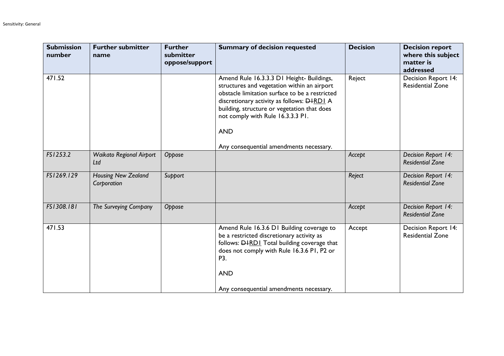| <b>Submission</b><br>number | <b>Further submitter</b><br>name          | <b>Further</b><br>submitter<br>oppose/support | <b>Summary of decision requested</b>                                                                                                                                                                                                                                                              | <b>Decision</b> | <b>Decision report</b><br>where this subject<br>matter is<br>addressed |
|-----------------------------|-------------------------------------------|-----------------------------------------------|---------------------------------------------------------------------------------------------------------------------------------------------------------------------------------------------------------------------------------------------------------------------------------------------------|-----------------|------------------------------------------------------------------------|
| 471.52                      |                                           |                                               | Amend Rule 16.3.3.3 D1 Height- Buildings,<br>structures and vegetation within an airport<br>obstacle limitation surface to be a restricted<br>discretionary activity as follows: <b>DHRDI</b> A<br>building, structure or vegetation that does<br>not comply with Rule 16.3.3.3 PI.<br><b>AND</b> | Reject          | Decision Report 14:<br><b>Residential Zone</b>                         |
|                             |                                           |                                               | Any consequential amendments necessary.                                                                                                                                                                                                                                                           |                 |                                                                        |
| FS1253.2                    | <b>Waikato Regional Airport</b><br>Ltd    | Oppose                                        |                                                                                                                                                                                                                                                                                                   | Accept          | Decision Report 14:<br><b>Residential Zone</b>                         |
| FS1269.129                  | <b>Housing New Zealand</b><br>Corporation | Support                                       |                                                                                                                                                                                                                                                                                                   | Reject          | Decision Report 14:<br><b>Residential Zone</b>                         |
| FS1308.181                  | The Surveying Company                     | Oppose                                        |                                                                                                                                                                                                                                                                                                   | Accept          | Decision Report 14:<br><b>Residential Zone</b>                         |
| 471.53                      |                                           |                                               | Amend Rule 16.3.6 D1 Building coverage to<br>be a restricted discretionary activity as<br>follows: <b>DHRDI</b> Total building coverage that<br>does not comply with Rule 16.3.6 PI, P2 or<br>P3.<br><b>AND</b><br>Any consequential amendments necessary.                                        | Accept          | Decision Report 14:<br><b>Residential Zone</b>                         |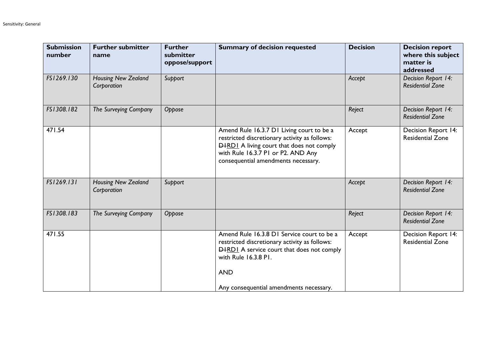| <b>Submission</b><br>number | <b>Further submitter</b><br>name          | <b>Further</b><br>submitter<br>oppose/support | <b>Summary of decision requested</b>                                                                                                                                                                                              | <b>Decision</b> | <b>Decision report</b><br>where this subject<br>matter is<br>addressed |
|-----------------------------|-------------------------------------------|-----------------------------------------------|-----------------------------------------------------------------------------------------------------------------------------------------------------------------------------------------------------------------------------------|-----------------|------------------------------------------------------------------------|
| FS1269.130                  | Housing New Zealand<br>Corporation        | Support                                       |                                                                                                                                                                                                                                   | Accept          | Decision Report 14:<br><b>Residential Zone</b>                         |
| FS1308.182                  | The Surveying Company                     | Oppose                                        |                                                                                                                                                                                                                                   | Reject          | Decision Report 14:<br><b>Residential Zone</b>                         |
| 471.54                      |                                           |                                               | Amend Rule 16.3.7 D1 Living court to be a<br>restricted discretionary activity as follows:<br><b>DHRDI</b> A living court that does not comply<br>with Rule 16.3.7 PI or P2. AND Any<br>consequential amendments necessary.       | Accept          | Decision Report 14:<br><b>Residential Zone</b>                         |
| FS1269.131                  | <b>Housing New Zealand</b><br>Corporation | Support                                       |                                                                                                                                                                                                                                   | Accept          | Decision Report 14:<br><b>Residential Zone</b>                         |
| FS1308.183                  | The Surveying Company                     | Oppose                                        |                                                                                                                                                                                                                                   | Reject          | Decision Report 14:<br><b>Residential Zone</b>                         |
| 471.55                      |                                           |                                               | Amend Rule 16.3.8 D1 Service court to be a<br>restricted discretionary activity as follows:<br><b>DHRDI</b> A service court that does not comply<br>with Rule 16.3.8 PI.<br><b>AND</b><br>Any consequential amendments necessary. | Accept          | Decision Report 14:<br><b>Residential Zone</b>                         |